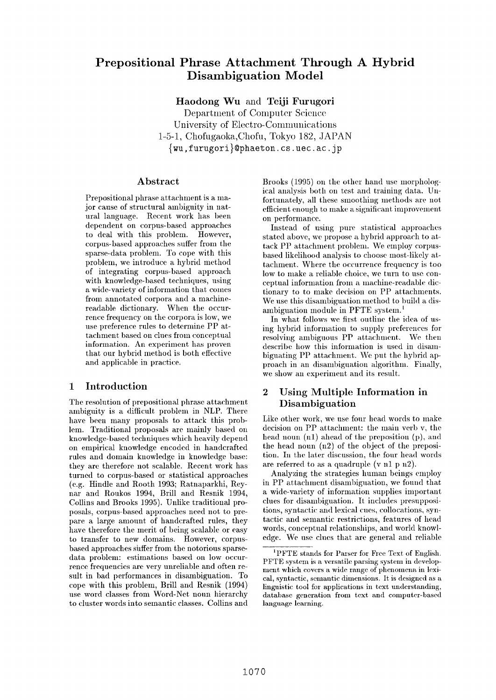# **Prepositional Phrase Attachment Through A Hybrid Disambiguation Model**

**Haodong** Wu and Teiji Furugori

Department of Computer Science University of Electro-Communications 1-5-1, Chofugaoka, Chofu, Tokyo 182, JAPAN  $\{wu, furugori\}$ @phaeton.cs.uec.ac.jp

## **Abstract**

Prepositional phrase attachment is a major cause of structural ambiguity in natural language. Recent work has been dependent on corpus-based approaches to deal with this problem. However, corpus-based approaches suffer from the sparse-data problem. To cope with this problem, we introduce a hybrid method of integrating corpus-based approach with knowledge-based techniques, using a wide-variety of information that comes from annotated corpora and a machinereadable dictionary. When the occurrence frequency on the corpora is low, we use preference rules to determine PP attachment based on clues from conceptual information. An experiment has proven that our hybrid method is both effective and applicable in practice.

## **1 Introduction**

The resolution of prepositional phrase attachment ambiguity is a difficult problem in NLP. There have been many proposals to attack this problem. Traditional proposals are mainly based on knowledge-based techniques which heavily depend on empirical knowledge encoded in handcrafted rules and domain knowledge in knowledge base: they are therefore not scalable. Recent work has turned to corpus-based or statistical approaches (e.g. Hindle and Rooth 1993; Ratnaparkhi, Reynar and Roukos 1994, Brill and Resnik 1994, Collins and Brooks 1995). Unlike traditional proposals, corpus-based approaches need not to prepare a large amount of handcrafted rules, they have therefore the merit of being scalable or easy to transfer to new domains. However, corpusbased approaches suffer from the notorious sparsedata problem: estimations based on low occurrence frequencies are very unreliable and often result in bad performances in disambiguation. To cope with this problem, Brill and Resnik (1994) use word classes from Word-Net noun hierarchy to cluster words into semantic classes. Collins and

Brooks (1995) on the other hand use morphological analysis both on test and training data. Unfortunately, all these smoothing methods are not efficient enough to make a significant improvement on performance.

Instead of using pure statistical approaches stated above, wc propose a hybrid approach to attack PP attachment problem. We employ corpusbased likelihood analysis to choose most-likely attachment. Where the occurrence frequency is too low to make a reliable choice, wc turn to use conceptual information from a machine-readable dictionary to to make decision on PP attachments. We use this disambiguation method to build a disambiguation module in PFTE system, l

In what follows we first outline the idea of using hybrid information to supply preferences for resolving ambiguous PP attachment. We then describe how this information is used in disambiguating PP attachment. We put the hybrid approach in an disambiguation algorithm. Finally, we show an experiment and its result.

## **2 Using Multiple Information in Disambiguation**

Like other work, we use fonr head words to make decision on PP attachment: the main verb v, the head noun  $(n1)$  ahead of the preposition  $(p)$ , and the head noun (n2) of the object of the preposition. In the later discussion, the four head words are referred to as a quadruple (v n1 p  $n/2$ ).

Analyzing the strategies human beings employ in PP attachment disambiguation, we found that a wide-variety of information supplies important clues for disambiguation. It includes presuppositions, syntactic and lexical cues, collocations, syntactic and semantic restrictions, features of head words, conceptual relationships, and world knowledge. We use clues that are general and reliable

<sup>1</sup>PFTE stands for Parser for Free Text of English. PFTE system is a versatile parsing system in development which covers a wide range of phenomena in lexical, syntactic, semantic dimensions. It is designed as a linguistic tool for applications in text understanding, database generation from text and computer-based language learning.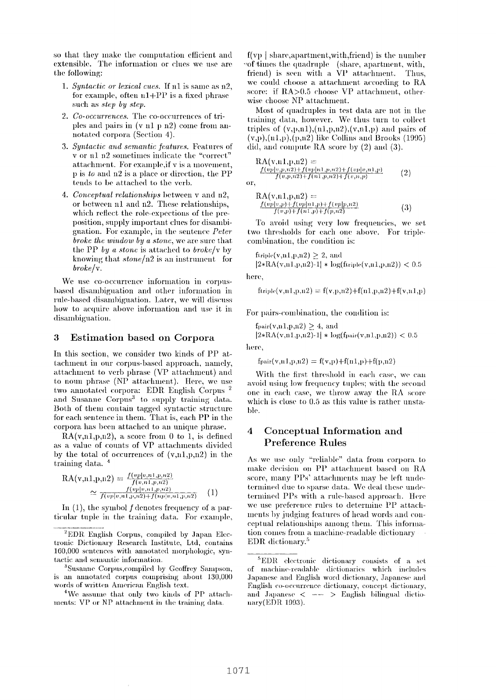so that they make the computation efficient and extensible. The information or clues we use are the following:

- 1. Syntactic or lexical cues. If n1 is same as n2, for example, often  $n1+PP$  is a fixed phrase such as *step* by *step*.
- 2. Co-occurrences. The co-occurrences of triples and pairs in  $(v n1 p n2)$  come from annotated corpora (Section 4).
- 3. Syntactic and semantic features. Features of v or n1 n2 sometimes indicate the "correct" attachment. For example, if v is a movement, p is to and n2 is a place or direction, the PP tends to be attached to the verb.
- 4. Conceptual relationships between v and n2, or between n1 and n2. These relationships, which reflect the role-expections of the preposition, supply important clues for disambiguation. For example, in the sentence Peter broke the window by a stone, we are sure that the PP by a stone is attached to broke/v by knowing that  $stone/n2$  is an instrument for  $broken/v.$

We use co-occurrence information in corpusbased disambiguation and other information in rule-based disambiguation. Later, we will discuss how to acquire above information and use it in disambiguation.

#### 3 **Estimation based on Corpora**

In this section, we consider two kinds of PP attachment in our corpus-based approach, namely, attachment to verb phrase (VP attachment) and to noun phrase (NP attachment). Here, we use two annotated corpora: EDR English Corpus<sup>2</sup> and Susanne Corpus<sup>3</sup> to supply training data. Both of them contain tagged syntactic structure for each sentence in them. That is, each PP in the corpora has been attached to an unique phrase.

 $RA(v,n1,p,n2)$ , a score from 0 to 1, is defined as a value of counts of VP attachments divided by the total of occurrences of  $(v,n1,p,n2)$  in the training data.<sup>4</sup>

$$
RA(v,n1,p,n2) = \frac{f(vp|v,n1,p,n2)}{f(v,n1,p,n2)}
$$
  
\n
$$
\simeq \frac{f(vp|v,n1,p,n2)}{f(vp|v,n1,p,n2) + f(np|v,n1,p,n2)} \qquad (1)
$$

In  $(1)$ , the symbol f denotes frequency of a particular tuple in the training data. For example,

<sup>2</sup>EDR English Corpus, compiled by Japan Electronic Dictionary Research Institute, Ltd, contains 160,000 sentences with annotated morphologic, syntactic and semantic information.

<sup>3</sup>Susanne Corpus, compiled by Geoffrey Sampson, is an annotated corpus comprising about 130,000 words of written American English text.

<sup>4</sup>We assume that only two kinds of PP attachments: VP or NP attachment in the training data.

 $f(v)$  share, apartment, with, friend) is the number of times the quadruple (share, apartment, with, friend) is seen with a VP attachment. Thus, we could choose a attachment according to RA score: if RA>0.5 choose VP attachment, otherwise choose NP attachment.

Most of quadruples in test data are not in the training data, however. We thus turn to collect triples of  $(v, p, n1), (n1, p, n2), (v, n1, p)$  and pairs of  $(v,p),(n1,p),(p,n2)$  like Collins and Brooks (1995) did, and compute RA score by  $(2)$  and  $(3)$ .

RA(v,n1,p,n2) =  
\n
$$
\frac{f(v_1|v_1,n,2)+f(v_2|u_1,p,n,2)+f(v_1|v_1,n,1,p)}{f(v_1|v_1,n,2)+f(u_1|v_1,n,2)+f(v_1|v_1,p)} \qquad (2)
$$

or,

RA(v, n1, p, n2) =  
\n
$$
\frac{f(vp|v, p)+f(vp|n1, p)+f(vp|p, n2)}{f(v, p)+f(n1, p)+f(p, n2)}
$$
\n(3)

To avoid using very low frequencies, we set two thresholds for each one above. For triplecombination, the condition is:

ftriple(v,n1,p,n2)  $\geq$  2, and

 $|2*RA(v,n1,p,n2)-1| * log(ftriplet(v,n1,p,n2)) < 0.5$ here,

ftriple(v,n1,p,n2) = f(v,p,n2)+f(n1,p,n2)+f(v,n1,p)

For pairs-combination, the condition is:

 $f_{pair}(v,n1,p,n2) > 4$ , and  $|2*RA(v,n1,p,n2)-1| * log(f pair(v,n1,p,n2)) < 0.5$ 

here,

 $f_{pair}(v,n1,p,n2) = f(v,p) + f(n1,p) + f(p,n2)$ 

With the first threshold in each case, we can avoid using low frequency tuples; with the second one in each case, we throw away the RA score which is close to 0.5 as this value is rather unstable.

#### Conceptual Information and  $\boldsymbol{4}$ **Preference Rules**

As we use only "reliable" data from corpora to make decision on PP attachment based on RA score, many PPs' attachments may be left undetermined due to sparse data. We deal these undetermined PPs with a rule-based approach. Here we use preference rules to determine PP attachments by judging features of head words and conceptual relationships among them. This information comes from a machine-readable dictionary EDR dictionary.<sup>5</sup>

<sup>&</sup>lt;sup>5</sup>EDR electronic dictionary consists of a set of machine-readable dictionaries which includes Japanese and English word dictionary, Japanese and English co-occurrence dictionary, concept dictionary, and Japanese  $\langle \cdots \rangle$  English bilingual dictionary(EDR 1993).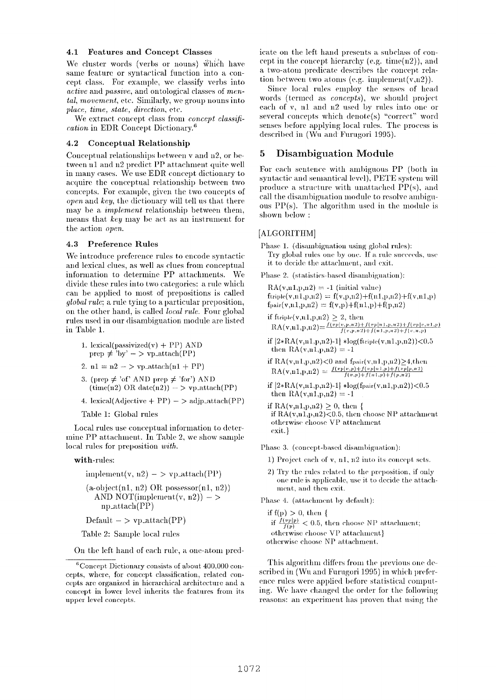#### **4.1 Features and Concept Classes**

We cluster words (verbs or nouns) which have same feature or syntactical function into a concept class. For example, we classify verbs into *active* and *passive*, and ontological classes of men*tal, movement,* etc. Similarly, we group nouns into *place, time, state, direction,* etc.

We extract concept class from *concept classification* in EDR Concept Dictionary.<sup>6</sup>

### **4.2 Conceptual Relationship**

Conceptual relationships between v and n2, or between n1 and n2 predict PP attachment quite well in many eases. We use EDR concept dictionary to acquire the conceptual relationship between two concepts. For example, given the two concepts of *open* and *key,* the dictionary will tell us that there may be a *implement* relationship between them, means that *key* may be act as an instrument for the action *open.* 

#### **4.3 Preference Rules**

We introduce preference rules to encode syntactic and lexical clues, as well as clues from conceptual information to determine PP attachments. We divide these rules into two categories: a rule which can be applied to most of prepositions is called *global rule;* a rule tying to a particular preposition, on the other hand, is called *local rule.* Four global rules used in our disambiguation module are listed in Table 1.

- **1. lexical(passivized(v) +** PP) AND  $prep \neq \text{y}$ <sup>'</sup> $by' - \gt \text{vp\_attack}(PP)$
- 2.  $n1 = n2 y$  vp. attach(nl + PP)
- 3. (prep  $\neq$  'of' AND prep  $\neq$  'for') AND  $(\text{time}(n2) \text{ OR } \text{date}(n2)) - \text{y} \text{p}_{\text{z}} \text{attach}(PP)$
- 4. lexical(Adjective + PP)  $-$  >  $\text{adj}$ <sub>p</sub>\_attach(PP)

Table 1: Global rules

Local rules use conceptual information to determine PP attachment. In Table 2, we show sample local rules for preposition *with*.

with-rules:

iml)lement(v, :)2) - > Vl)\_~tttach(Pl )) (a-ol)jeet(nl, n2) ()R possessor(nl, 112)) AND NOT(implen:ent(v, n2)) - > np\_~tttach(PP)

Default  $-$  > vp. attach(PP)

Table 2: Sample local rules

On the left hand of each rule, a one-atom pred-

icate on the left hand presents a subclass of concept in the concept hierarchy (e.g. time $(n2)$ ), and a two-atom predicate describes the concept relation between two atoms (e.g. implement $(v,n2)$ ).

Since local rules employ the senses of head words (termed as *concepts*), we should project each of v, n1 and n2 used by rules into one or several concepts which denote(s) "correct" word senses before applying local rules. The process is described in (Wu and Furugori 1995).

### **5 Disambiguation Module**

For each sentence with ambiguous PP (both in syntactic and semantical level), PETE system will produce a structure with unattached  $PP(s)$ , and call the disambiguation 1nodule to resolve ambiguous  $PP(s)$ . The algorithm used in the module is shown below :

#### [ALGORITHM]

- Phase 1. (disambiguation using global rules): Try global rules one by one. If a rule succeeds, use it to decide the attachment, and exit.
- Phase 2. (statistics-based disambiguation):
	- $RA(v,n1,p,n2) = -1$  (initial value)  $f$ triple(v,nl,p,n2) =  $f(v,p,n2) + f(n1,p,n2) + f(v,n1,p)$  $f_{\text{pair}}(v,n1,p,n2) = f(v,p) + f(n1,p) + f(p,n2)$
	- if ftriple(v,n1,p,n2) > 2, then  $\text{RA}(v,n1,p,n2) = \frac{f(vp|v,p,n2)+f(vp|n1,p,n2)+f(vp|v,n1,p)}{f(v,p,n2)+f(n1,p,n2)+f(v,n,p)}$
	- if  $|2*RA(v,n1,p,n2)-1| *log(f_{\text{triple}}(v,n1,p,n2))|$  <0.5 then  $RA(v,n1,p,n2) = -1$
	- if  $RA(v,n1,p,n2) < 0$  and  $f_{pair}(v,n1,p,n2) > 4$ , then  $\text{RA}(v,n1,p,n2) = \frac{f(vp|v,p) + f(vp|n1,p) + f(vp|p,n2)}{f(v,p) + f(n1,p) + f(p,n2)}$
	- if  $|2*RA(v,n1,p,n2)-1|$   $*log(f_{pair}(v,n1,p,n2))<0.5$ then  $RA(v,n1,p,n2) = -1$

if  $RA(v,n1,p,n2) \geq 0$ , then { if  $RA(v,n1,p,n2)$ <br/> $\leq$ 0.5, then choose NP attachment otherwise choose VP attachment exit. **}** 

Phase 3. (concept-based disambiguation):

- 1) Project each of  $v$ , n1, n2 into its concept sets.
- 2) Try the rules related to the preposition, if only one rule is applicable, use it to decide the attachment, and then exit.

Phase 4. (attachment by default):

if  $f(p) > 0$ , then { if  $\frac{\tilde{f}(vp|p)}{f(p)} < 0.5$ , then choose NP attachment; otherwise choose VP attachment} otherwise choose NP attachment.

This algorithm differs from the previous one described in (Wu and Furugori 1995) in which preference rules were applied before statistical computing. We have changed the order for the following reasons: an experiment has proven that using the

 ${}^{6}$ Concept Dictionary consists of about 400,000 concepts, where, for concept classification, related concepts are organized in hierarchical architecture and a concept in lower level inherits the features from its upper level concepts.